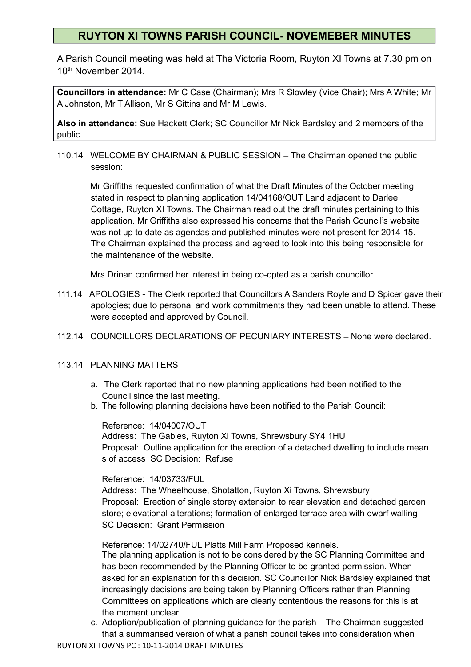# **RUYTON XI TOWNS PARISH COUNCIL- NOVEMEBER MINUTES**

A Parish Council meeting was held at The Victoria Room, Ruyton XI Towns at 7.30 pm on 10th November 2014.

**Councillors in attendance:** Mr C Case (Chairman); Mrs R Slowley (Vice Chair); Mrs A White; Mr A Johnston, Mr T Allison, Mr S Gittins and Mr M Lewis.

**Also in attendance:** Sue Hackett Clerk; SC Councillor Mr Nick Bardsley and 2 members of the public.

110.14 WELCOME BY CHAIRMAN & PUBLIC SESSION – The Chairman opened the public session:

 Mr Griffiths requested confirmation of what the Draft Minutes of the October meeting stated in respect to planning application 14/04168/OUT Land adjacent to Darlee Cottage, Ruyton XI Towns. The Chairman read out the draft minutes pertaining to this application. Mr Griffiths also expressed his concerns that the Parish Council's website was not up to date as agendas and published minutes were not present for 2014-15. The Chairman explained the process and agreed to look into this being responsible for the maintenance of the website.

Mrs Drinan confirmed her interest in being co-opted as a parish councillor.

- 111.14 APOLOGIES The Clerk reported that Councillors A Sanders Royle and D Spicer gave their apologies; due to personal and work commitments they had been unable to attend. These were accepted and approved by Council.
- 112.14 COUNCILLORS DECLARATIONS OF PECUNIARY INTERESTS None were declared.

## 113.14 PLANNING MATTERS

- a. The Clerk reported that no new planning applications had been notified to the Council since the last meeting.
- b. The following planning decisions have been notified to the Parish Council:

Reference: 14/04007/OUT

Address: The Gables, Ruyton Xi Towns, Shrewsbury SY4 1HU Proposal: Outline application for the erection of a detached dwelling to include mean s of access SC Decision: Refuse

### Reference: 14/03733/FUL

Address: The Wheelhouse, Shotatton, Ruyton Xi Towns, Shrewsbury Proposal: Erection of single storey extension to rear elevation and detached garden store; elevational alterations; formation of enlarged terrace area with dwarf walling SC Decision: Grant Permission

Reference: 14/02740/FUL Platts Mill Farm Proposed kennels.

The planning application is not to be considered by the SC Planning Committee and has been recommended by the Planning Officer to be granted permission. When asked for an explanation for this decision. SC Councillor Nick Bardsley explained that increasingly decisions are being taken by Planning Officers rather than Planning Committees on applications which are clearly contentious the reasons for this is at the moment unclear.

c. Adoption/publication of planning guidance for the parish – The Chairman suggested that a summarised version of what a parish council takes into consideration when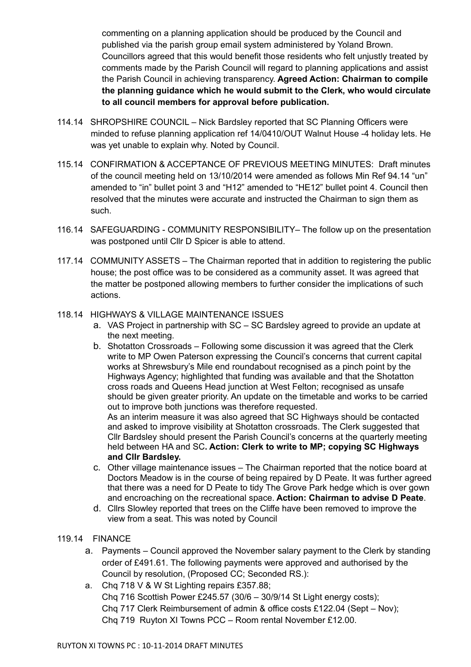commenting on a planning application should be produced by the Council and published via the parish group email system administered by Yoland Brown. Councillors agreed that this would benefit those residents who felt unjustly treated by comments made by the Parish Council will regard to planning applications and assist the Parish Council in achieving transparency. **Agreed Action: Chairman to compile the planning guidance which he would submit to the Clerk, who would circulate to all council members for approval before publication.**

- 114.14 SHROPSHIRE COUNCIL Nick Bardsley reported that SC Planning Officers were minded to refuse planning application ref 14/0410/OUT Walnut House -4 holiday lets. He was yet unable to explain why. Noted by Council.
- 115.14 CONFIRMATION & ACCEPTANCE OF PREVIOUS MEETING MINUTES: Draft minutes of the council meeting held on 13/10/2014 were amended as follows Min Ref 94.14 "un" amended to "in" bullet point 3 and "H12" amended to "HE12" bullet point 4. Council then resolved that the minutes were accurate and instructed the Chairman to sign them as such.
- 116.14 SAFEGUARDING COMMUNITY RESPONSIBILITY– The follow up on the presentation was postponed until Cllr D Spicer is able to attend.
- 117.14 COMMUNITY ASSETS The Chairman reported that in addition to registering the public house; the post office was to be considered as a community asset. It was agreed that the matter be postponed allowing members to further consider the implications of such actions.

### 118.14 HIGHWAYS & VILLAGE MAINTENANCE ISSUES

- a. VAS Project in partnership with SC SC Bardsley agreed to provide an update at the next meeting.
- b. Shotatton Crossroads Following some discussion it was agreed that the Clerk write to MP Owen Paterson expressing the Council's concerns that current capital works at Shrewsbury's Mile end roundabout recognised as a pinch point by the Highways Agency; highlighted that funding was available and that the Shotatton cross roads and Queens Head junction at West Felton; recognised as unsafe should be given greater priority. An update on the timetable and works to be carried out to improve both junctions was therefore requested. As an interim measure it was also agreed that SC Highways should be contacted and asked to improve visibility at Shotatton crossroads. The Clerk suggested that Cllr Bardsley should present the Parish Council's concerns at the quarterly meeting held between HA and SC**. Action: Clerk to write to MP; copying SC Highways** 
	- **and Cllr Bardsley.**
- c. Other village maintenance issues The Chairman reported that the notice board at Doctors Meadow is in the course of being repaired by D Peate. It was further agreed that there was a need for D Peate to tidy The Grove Park hedge which is over gown and encroaching on the recreational space. **Action: Chairman to advise D Peate**.
- d. Cllrs Slowley reported that trees on the Cliffe have been removed to improve the view from a seat. This was noted by Council

### 119.14 FINANCE

- a. Payments Council approved the November salary payment to the Clerk by standing order of £491.61. The following payments were approved and authorised by the Council by resolution, (Proposed CC; Seconded RS.):
- a. Chq 718 V & W St Lighting repairs £357.88; Chq 716 Scottish Power £245.57 (30/6 – 30/9/14 St Light energy costs); Chq 717 Clerk Reimbursement of admin & office costs £122.04 (Sept – Nov); Chq 719 Ruyton XI Towns PCC – Room rental November £12.00.